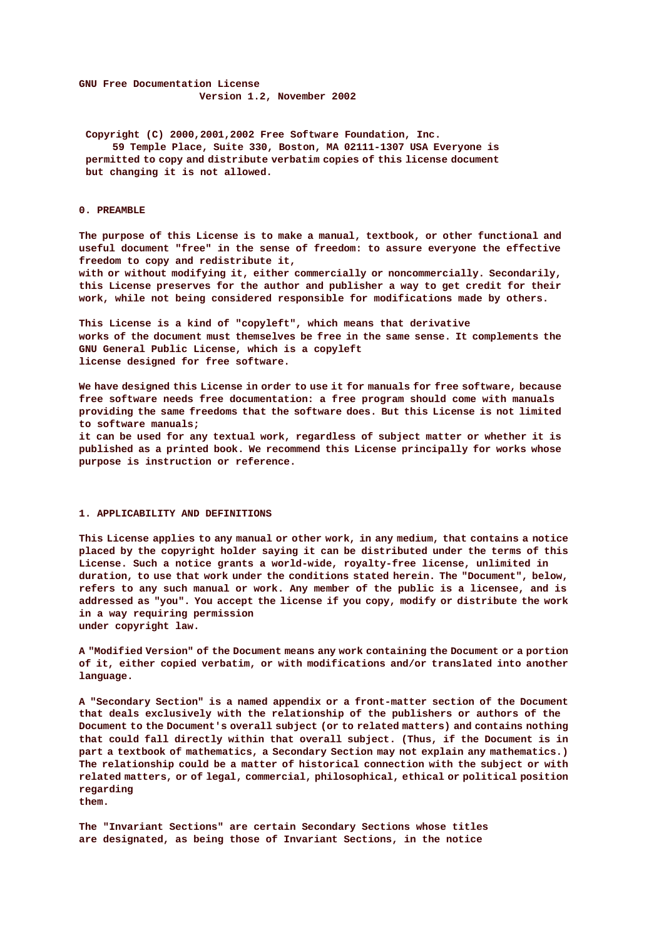**GNU Free Documentation License Version 1.2, November 2002**

**Copyright (C) 2000,2001,2002 Free Software Foundation, Inc. 59 Temple Place, Suite 330, Boston, MA 02111-1307 USA Everyone is permitted to copy and distribute verbatim copies of this license document, but changing it is not allowed.**

## **0. PREAMBLE**

**The purpose of this License is to make a manual, textbook, or other functional and useful document "free" in the sense of freedom: to assure everyone the effective freedom to copy and redistribute it,**

**with or without modifying it, either commercially or noncommercially. Secondarily, this License preserves for the author and publisher a way to get credit for their work, while not being considered responsible for modifications made by others.**

**This License is a kind of "copyleft", which means that derivative works of the document must themselves be free in the same sense. It complements the GNU General Public License, which is a copyleft license designed for free software.**

**We have designed this License in order to use it for manuals for free software, because free software needs free documentation: a free program should come with manuals providing the same freedoms that the software does. But this License is not limited to software manuals;**

**it can be used for any textual work, regardless of subject matter or whether it is published as a printed book. We recommend this License principally for works whose purpose is instruction or reference.**

### **1. APPLICABILITY AND DEFINITIONS**

**This License applies to any manual or other work, in any medium, that contains a notice placed by the copyright holder saying it can be distributed under the terms of this License. Such a notice grants a world-wide, royalty-free license, unlimited in duration, to use that work under the conditions stated herein. The "Document", below, refers to any such manual or work. Any member of the public is a licensee, and is addressed as "you". You accept the license if you copy, modify or distribute the work in a way requiring permission under copyright law.**

**A "Modified Version" of the Document means any work containing the Document or a portion of it, either copied verbatim, or with modifications and/or translated into another language.**

**A "Secondary Section" is a named appendix or a front-matter section of the Document that deals exclusively with the relationship of the publishers or authors of the Document to the Document's overall subject (or to related matters) and contains nothing that could fall directly within that overall subject. (Thus, if the Document is in part a textbook of mathematics, a Secondary Section may not explain any mathematics.) The relationship could be a matter of historical connection with the subject or with related matters, or of legal, commercial, philosophical, ethical or political position regarding them.**

**The "Invariant Sections" are certain Secondary Sections whose titles are designated, as being those of Invariant Sections, in the notice**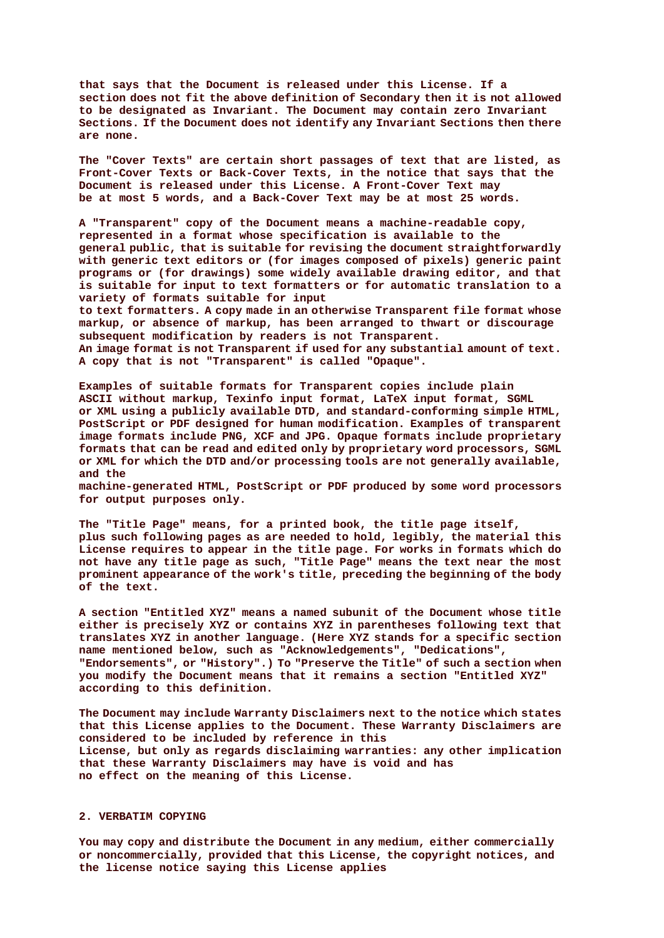**that says that the Document is released under this License. If a section does not fit the above definition of Secondary then it is not allowed to be designated as Invariant. The Document may contain zero Invariant Sections. If the Document does not identify any Invariant Sections then there are none.**

**The "Cover Texts" are certain short passages of text that are listed, as Front-Cover Texts or Back-Cover Texts, in the notice that says that the Document is released under this License. A Front-Cover Text may be at most 5 words, and a Back-Cover Text may be at most 25 words.**

**A "Transparent" copy of the Document means a machine-readable copy, represented in a format whose specification is available to the general public, that is suitable for revising the document straightforwardly with generic text editors or (for images composed of pixels) generic paint programs or (for drawings) some widely available drawing editor, and that is suitable for input to text formatters or for automatic translation to a variety of formats suitable for input**

**to text formatters. A copy made in an otherwise Transparent file format whose markup, or absence of markup, has been arranged to thwart or discourage subsequent modification by readers is not Transparent. An image format is not Transparent if used for any substantial amount of text. A copy that is not "Transparent" is called "Opaque".**

**Examples of suitable formats for Transparent copies include plain ASCII without markup, Texinfo input format, LaTeX input format, SGML or XML using a publicly available DTD, and standard-conforming simple HTML, PostScript or PDF designed for human modification. Examples of transparent image formats include PNG, XCF and JPG. Opaque formats include proprietary formats that can be read and edited only by proprietary word processors, SGML or XML for which the DTD and/or processing tools are not generally available, and the**

**machine-generated HTML, PostScript or PDF produced by some word processors for output purposes only.**

**The "Title Page" means, for a printed book, the title page itself, plus such following pages as are needed to hold, legibly, the material this License requires to appear in the title page. For works in formats which do not have any title page as such, "Title Page" means the text near the most prominent appearance of the work's title, preceding the beginning of the body of the text.**

**A section "Entitled XYZ" means a named subunit of the Document whose title either is precisely XYZ or contains XYZ in parentheses following text that translates XYZ in another language. (Here XYZ stands for a specific section name mentioned below, such as "Acknowledgements", "Dedications", "Endorsements", or "History".) To "Preserve the Title" of such a section when you modify the Document means that it remains a section "Entitled XYZ" according to this definition.**

**The Document may include Warranty Disclaimers next to the notice which states that this License applies to the Document. These Warranty Disclaimers are considered to be included by reference in this License, but only as regards disclaiming warranties: any other implication that these Warranty Disclaimers may have is void and has no effect on the meaning of this License.**

# **2. VERBATIM COPYING**

**You may copy and distribute the Document in any medium, either commercially or noncommercially, provided that this License, the copyright notices, and the license notice saying this License applies**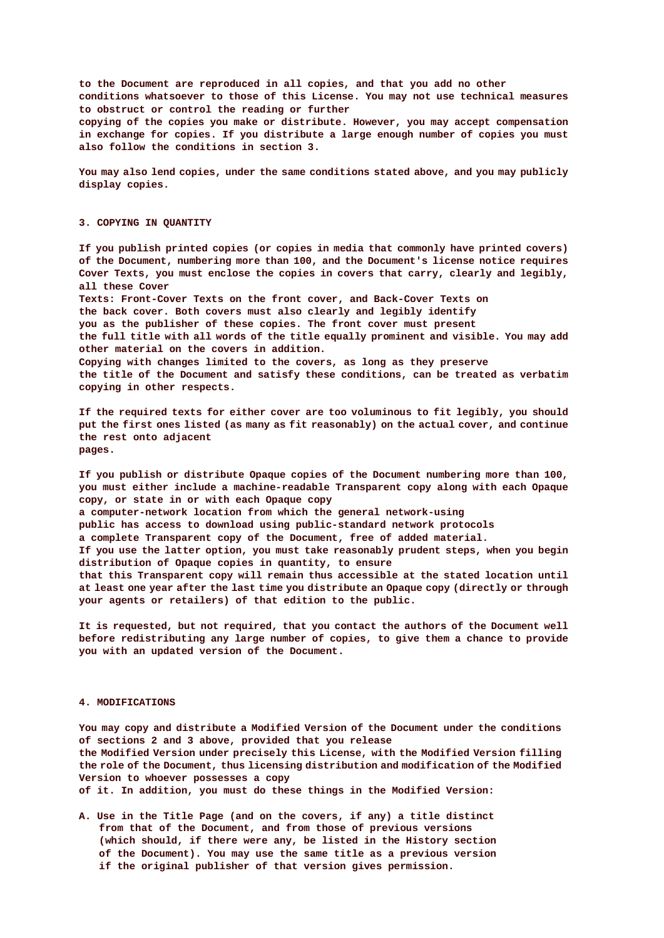**to the Document are reproduced in all copies, and that you add no other conditions whatsoever to those of this License. You may not use technical measures to obstruct or control the reading or further copying of the copies you make or distribute. However, you may accept compensation in exchange for copies. If you distribute a large enough number of copies you must also follow the conditions in section 3.**

**You may also lend copies, under the same conditions stated above, and you may publicly display copies.**

### **3. COPYING IN QUANTITY**

**If you publish printed copies (or copies in media that commonly have printed covers) of the Document, numbering more than 100, and the Document's license notice requires Cover Texts, you must enclose the copies in covers that carry, clearly and legibly, all these Cover Texts: Front-Cover Texts on the front cover, and Back-Cover Texts on the back cover. Both covers must also clearly and legibly identify you as the publisher of these copies. The front cover must present the full title with all words of the title equally prominent and visible. You may add other material on the covers in addition. Copying with changes limited to the covers, as long as they preserve**

**the title of the Document and satisfy these conditions, can be treated as verbatim copying in other respects.**

**If the required texts for either cover are too voluminous to fit legibly, you should put the first ones listed (as many as fit reasonably) on the actual cover, and continue the rest onto adjacent pages.**

**If you publish or distribute Opaque copies of the Document numbering more than 100, you must either include a machine-readable Transparent copy along with each Opaque copy, or state in or with each Opaque copy**

**a computer-network location from which the general network-using**

**public has access to download using public-standard network protocols**

**a complete Transparent copy of the Document, free of added material.**

**If you use the latter option, you must take reasonably prudent steps, when you begin distribution of Opaque copies in quantity, to ensure**

**that this Transparent copy will remain thus accessible at the stated location until at least one year after the last time you distribute an Opaque copy (directly or through your agents or retailers) of that edition to the public.**

**It is requested, but not required, that you contact the authors of the Document well before redistributing any large number of copies, to give them a chance to provide you with an updated version of the Document.**

#### **4. MODIFICATIONS**

**You may copy and distribute a Modified Version of the Document under the conditions of sections 2 and 3 above, provided that you release the Modified Version under precisely this License, with the Modified Version filling the role of the Document, thus licensing distribution and modification of the Modified Version to whoever possesses a copy of it. In addition, you must do these things in the Modified Version:**

**A. Use in the Title Page (and on the covers, if any) a title distinct from that of the Document, and from those of previous versions (which should, if there were any, be listed in the History section of the Document). You may use the same title as a previous version if the original publisher of that version gives permission.**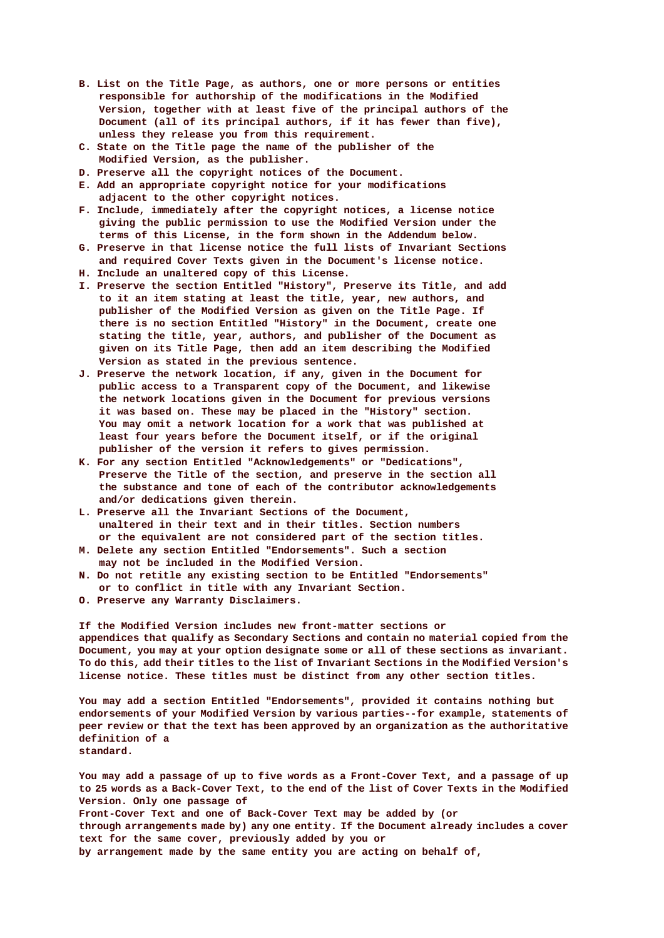- **B. List on the Title Page, as authors, one or more persons or entities responsible for authorship of the modifications in the Modified Version, together with at least five of the principal authors of the Document (all of its principal authors, if it has fewer than five), unless they release you from this requirement.**
- **C. State on the Title page the name of the publisher of the Modified Version, as the publisher.**
- **D. Preserve all the copyright notices of the Document.**
- **E. Add an appropriate copyright notice for your modifications adjacent to the other copyright notices.**
- **F. Include, immediately after the copyright notices, a license notice giving the public permission to use the Modified Version under the terms of this License, in the form shown in the Addendum below.**
- **G. Preserve in that license notice the full lists of Invariant Sections and required Cover Texts given in the Document's license notice.**
- **H. Include an unaltered copy of this License.**
- **I. Preserve the section Entitled "History", Preserve its Title, and add to it an item stating at least the title, year, new authors, and publisher of the Modified Version as given on the Title Page. If there is no section Entitled "History" in the Document, create one stating the title, year, authors, and publisher of the Document as given on its Title Page, then add an item describing the Modified Version as stated in the previous sentence.**
- **J. Preserve the network location, if any, given in the Document for public access to a Transparent copy of the Document, and likewise the network locations given in the Document for previous versions it was based on. These may be placed in the "History" section. You may omit a network location for a work that was published at least four years before the Document itself, or if the original publisher of the version it refers to gives permission.**
- **K. For any section Entitled "Acknowledgements" or "Dedications", Preserve the Title of the section, and preserve in the section all the substance and tone of each of the contributor acknowledgements and/or dedications given therein.**
- **L. Preserve all the Invariant Sections of the Document, unaltered in their text and in their titles. Section numbers or the equivalent are not considered part of the section titles.**
- **M. Delete any section Entitled "Endorsements". Such a section may not be included in the Modified Version.**
- **N. Do not retitle any existing section to be Entitled "Endorsements" or to conflict in title with any Invariant Section.**
- **O. Preserve any Warranty Disclaimers.**

**If the Modified Version includes new front-matter sections or appendices that qualify as Secondary Sections and contain no material copied from the Document, you may at your option designate some or all of these sections as invariant. To do this, add their titles to the list of Invariant Sections in the Modified Version's license notice. These titles must be distinct from any other section titles.**

**You may add a section Entitled "Endorsements", provided it contains nothing but endorsements of your Modified Version by various parties--for example, statements of peer review or that the text has been approved by an organization as the authoritative definition of a standard.**

**You may add a passage of up to five words as a Front-Cover Text, and a passage of up to 25 words as a Back-Cover Text, to the end of the list of Cover Texts in the Modified Version. Only one passage of**

**Front-Cover Text and one of Back-Cover Text may be added by (or**

**through arrangements made by) any one entity. If the Document already includes a cover text for the same cover, previously added by you or**

**by arrangement made by the same entity you are acting on behalf of,**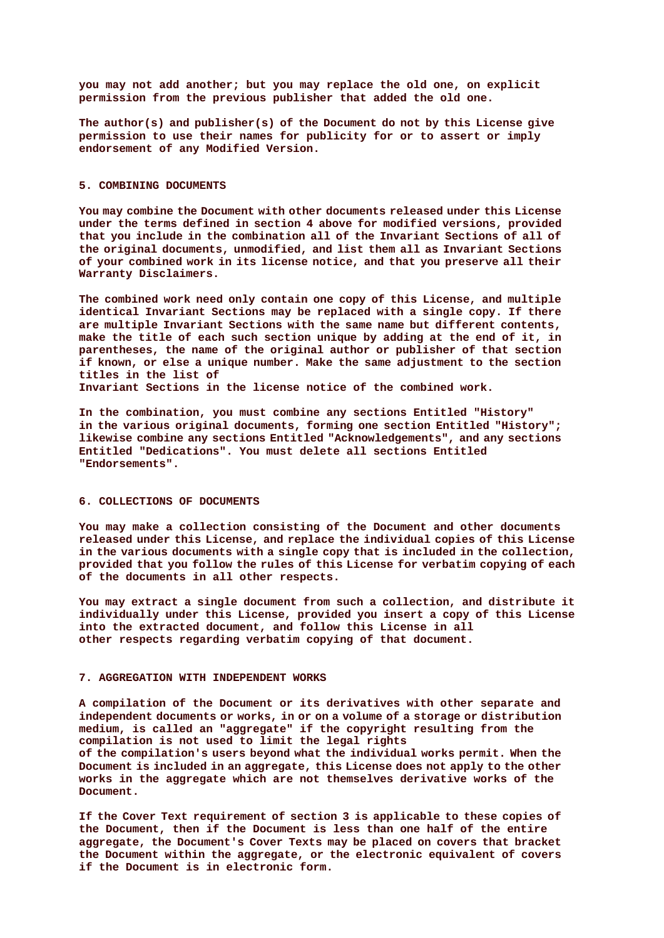**you may not add another; but you may replace the old one, on explicit permission from the previous publisher that added the old one.**

**The author(s) and publisher(s) of the Document do not by this License give permission to use their names for publicity for or to assert or imply endorsement of any Modified Version.**

#### **5. COMBINING DOCUMENTS**

**You may combine the Document with other documents released under this License, under the terms defined in section 4 above for modified versions, provided that you include in the combination all of the Invariant Sections of all of the original documents, unmodified, and list them all as Invariant Sections of your combined work in its license notice, and that you preserve all their Warranty Disclaimers.**

**The combined work need only contain one copy of this License, and multiple identical Invariant Sections may be replaced with a single copy. If there are multiple Invariant Sections with the same name but different contents, make the title of each such section unique by adding at the end of it, in parentheses, the name of the original author or publisher of that section if known, or else a unique number. Make the same adjustment to the section titles in the list of**

**Invariant Sections in the license notice of the combined work.**

**In the combination, you must combine any sections Entitled "History" in the various original documents, forming one section Entitled "History"; likewise combine any sections Entitled "Acknowledgements", and any sections Entitled "Dedications". You must delete all sections Entitled "Endorsements".**

## **6. COLLECTIONS OF DOCUMENTS**

**You may make a collection consisting of the Document and other documents released under this License, and replace the individual copies of this License in the various documents with a single copy that is included in the collection, provided that you follow the rules of this License for verbatim copying of each of the documents in all other respects.**

**You may extract a single document from such a collection, and distribute it individually under this License, provided you insert a copy of this License into the extracted document, and follow this License in all other respects regarding verbatim copying of that document.**

## **7. AGGREGATION WITH INDEPENDENT WORKS**

**A compilation of the Document or its derivatives with other separate and independent documents or works, in or on a volume of a storage or distribution medium, is called an "aggregate" if the copyright resulting from the compilation is not used to limit the legal rights of the compilation's users beyond what the individual works permit. When the Document is included in an aggregate, this License does not apply to the other works in the aggregate which are not themselves derivative works of the Document.**

**If the Cover Text requirement of section 3 is applicable to these copies of the Document, then if the Document is less than one half of the entire aggregate, the Document's Cover Texts may be placed on covers that bracket the Document within the aggregate, or the electronic equivalent of covers if the Document is in electronic form.**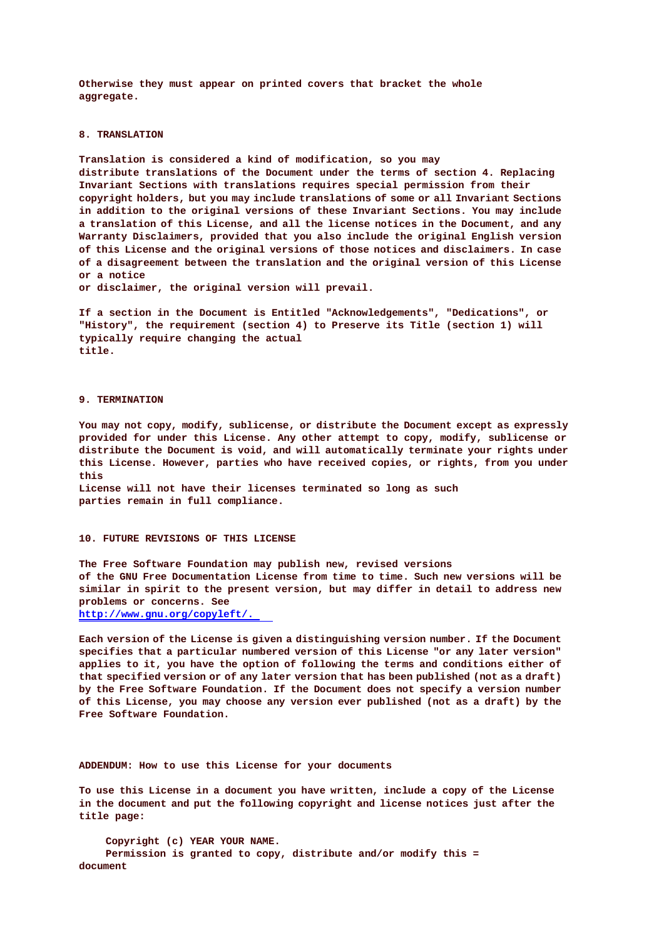**Otherwise they must appear on printed covers that bracket the whole aggregate.**

# **8. TRANSLATION**

**Translation is considered a kind of modification, so you may distribute translations of the Document under the terms of section 4. Replacing Invariant Sections with translations requires special permission from their copyright holders, but you may include translations of some or all Invariant Sections in addition to the original versions of these Invariant Sections. You may include a translation of this License, and all the license notices in the Document, and any Warranty Disclaimers, provided that you also include the original English version of this License and the original versions of those notices and disclaimers. In case of a disagreement between the translation and the original version of this License or a notice**

**or disclaimer, the original version will prevail.**

**If a section in the Document is Entitled "Acknowledgements", "Dedications", or "History", the requirement (section 4) to Preserve its Title (section 1) will typically require changing the actual title.**

# **9. TERMINATION**

**You may not copy, modify, sublicense, or distribute the Document except as expressly provided for under this License. Any other attempt to copy, modify, sublicense or distribute the Document is void, and will automatically terminate your rights under this License. However, parties who have received copies, or rights, from you under this License will not have their licenses terminated so long as such parties remain in full compliance.**

**The Free Software Foundation may publish new, revised versions of the GNU Free Documentation License from time to time. Such new versions will be similar in spirit to the present version, but may differ in detail to address new problems or concerns. See http://www.gnu.org/copyleft/.**

**Each version of the License is given a distinguishing version number. If the Document specifies that a particular numbered version of this License "or any later version" applies to it, you have the option of following the terms and conditions either of that specified version or of any later version that has been published (not as a draft) by the Free Software Foundation. If the Document does not specify a version number of this License, you may choose any version ever published (not as a draft) by the Free Software Foundation.**

**ADDENDUM: How to use this License for your documents**

**To use this License in a document you have written, include a copy of the License in the document and put the following copyright and license notices just after the title page:**

**Copyright (c) YEAR YOUR NAME. Permission is granted to copy, distribute and/or modify this = document**